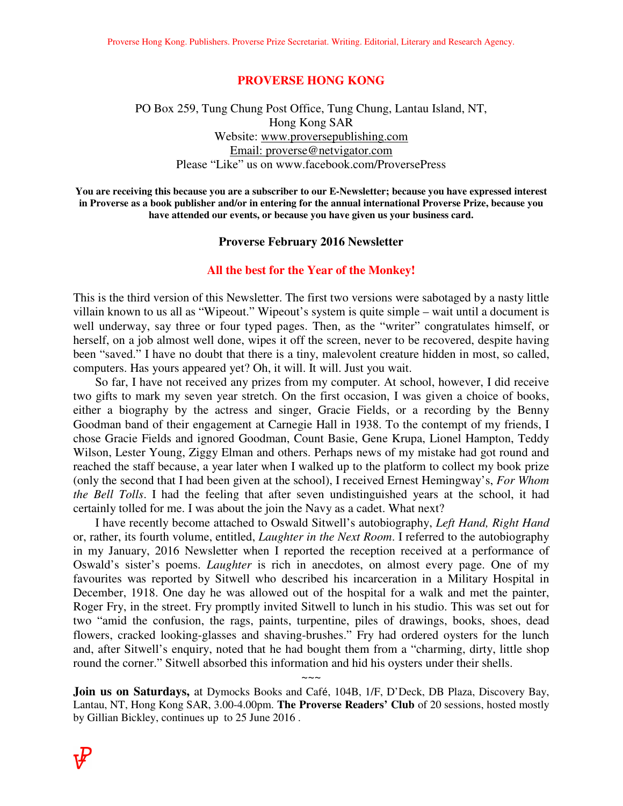### **PROVERSE HONG KONG**

## PO Box 259, Tung Chung Post Office, Tung Chung, Lantau Island, NT, Hong Kong SAR Website: www.proversepublishing.com Email: proverse@netvigator.com Please "Like" us on www.facebook.com/ProversePress

**You are receiving this because you are a subscriber to our E-Newsletter; because you have expressed interest in Proverse as a book publisher and/or in entering for the annual international Proverse Prize, because you have attended our events, or because you have given us your business card.** 

### **Proverse February 2016 Newsletter**

### **All the best for the Year of the Monkey!**

This is the third version of this Newsletter. The first two versions were sabotaged by a nasty little villain known to us all as "Wipeout." Wipeout's system is quite simple – wait until a document is well underway, say three or four typed pages. Then, as the "writer" congratulates himself, or herself, on a job almost well done, wipes it off the screen, never to be recovered, despite having been "saved." I have no doubt that there is a tiny, malevolent creature hidden in most, so called, computers. Has yours appeared yet? Oh, it will. It will. Just you wait.

 So far, I have not received any prizes from my computer. At school, however, I did receive two gifts to mark my seven year stretch. On the first occasion, I was given a choice of books, either a biography by the actress and singer, Gracie Fields, or a recording by the Benny Goodman band of their engagement at Carnegie Hall in 1938. To the contempt of my friends, I chose Gracie Fields and ignored Goodman, Count Basie, Gene Krupa, Lionel Hampton, Teddy Wilson, Lester Young, Ziggy Elman and others. Perhaps news of my mistake had got round and reached the staff because, a year later when I walked up to the platform to collect my book prize (only the second that I had been given at the school), I received Ernest Hemingway's, *For Whom the Bell Tolls*. I had the feeling that after seven undistinguished years at the school, it had certainly tolled for me. I was about the join the Navy as a cadet. What next?

 I have recently become attached to Oswald Sitwell's autobiography, *Left Hand, Right Hand*  or, rather, its fourth volume, entitled, *Laughter in the Next Room*. I referred to the autobiography in my January, 2016 Newsletter when I reported the reception received at a performance of Oswald's sister's poems. *Laughter* is rich in anecdotes, on almost every page. One of my favourites was reported by Sitwell who described his incarceration in a Military Hospital in December, 1918. One day he was allowed out of the hospital for a walk and met the painter, Roger Fry, in the street. Fry promptly invited Sitwell to lunch in his studio. This was set out for two "amid the confusion, the rags, paints, turpentine, piles of drawings, books, shoes, dead flowers, cracked looking-glasses and shaving-brushes." Fry had ordered oysters for the lunch and, after Sitwell's enquiry, noted that he had bought them from a "charming, dirty, little shop round the corner." Sitwell absorbed this information and hid his oysters under their shells.

**Join us on Saturdays,** at Dymocks Books and Café, 104B, 1/F, D'Deck, DB Plaza, Discovery Bay, Lantau, NT, Hong Kong SAR, 3.00-4.00pm. **The Proverse Readers' Club** of 20 sessions, hosted mostly by Gillian Bickley, continues up to 25 June 2016 .

 $\sim\sim\sim$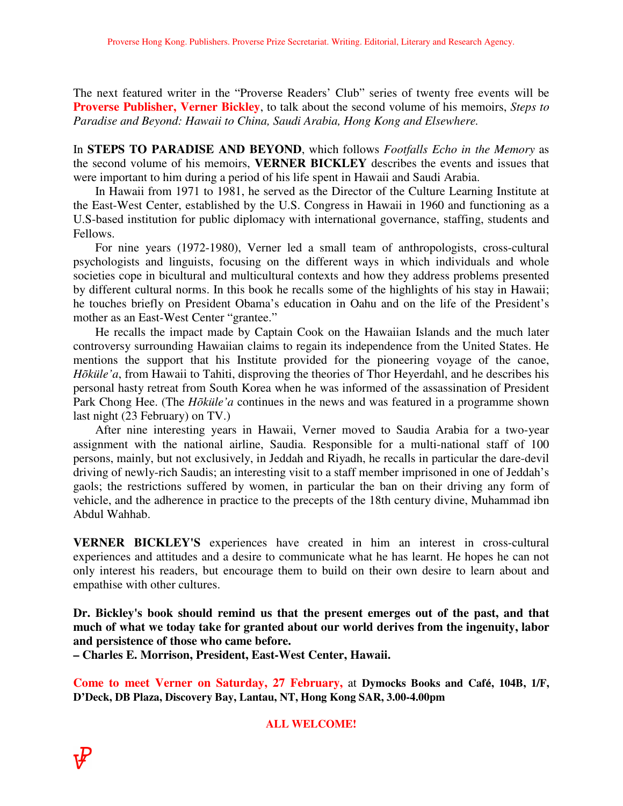The next featured writer in the "Proverse Readers' Club" series of twenty free events will be **Proverse Publisher, Verner Bickley**, to talk about the second volume of his memoirs, *Steps to Paradise and Beyond: Hawaii to China, Saudi Arabia, Hong Kong and Elsewhere.* 

In **STEPS TO PARADISE AND BEYOND**, which follows *Footfalls Echo in the Memory* as the second volume of his memoirs, **VERNER BICKLEY** describes the events and issues that were important to him during a period of his life spent in Hawaii and Saudi Arabia.

 In Hawaii from 1971 to 1981, he served as the Director of the Culture Learning Institute at the East-West Center, established by the U.S. Congress in Hawaii in 1960 and functioning as a U.S-based institution for public diplomacy with international governance, staffing, students and Fellows.

 For nine years (1972-1980), Verner led a small team of anthropologists, cross-cultural psychologists and linguists, focusing on the different ways in which individuals and whole societies cope in bicultural and multicultural contexts and how they address problems presented by different cultural norms. In this book he recalls some of the highlights of his stay in Hawaii; he touches briefly on President Obama's education in Oahu and on the life of the President's mother as an East-West Center "grantee."

 He recalls the impact made by Captain Cook on the Hawaiian Islands and the much later controversy surrounding Hawaiian claims to regain its independence from the United States. He mentions the support that his Institute provided for the pioneering voyage of the canoe, *Hõküle'a*, from Hawaii to Tahiti, disproving the theories of Thor Heyerdahl, and he describes his personal hasty retreat from South Korea when he was informed of the assassination of President Park Chong Hee. (The *Hõküle'a* continues in the news and was featured in a programme shown last night (23 February) on TV.)

 After nine interesting years in Hawaii, Verner moved to Saudia Arabia for a two-year assignment with the national airline, Saudia. Responsible for a multi-national staff of 100 persons, mainly, but not exclusively, in Jeddah and Riyadh, he recalls in particular the dare-devil driving of newly-rich Saudis; an interesting visit to a staff member imprisoned in one of Jeddah's gaols; the restrictions suffered by women, in particular the ban on their driving any form of vehicle, and the adherence in practice to the precepts of the 18th century divine, Muhammad ibn Abdul Wahhab.

**VERNER BICKLEY'S** experiences have created in him an interest in cross-cultural experiences and attitudes and a desire to communicate what he has learnt. He hopes he can not only interest his readers, but encourage them to build on their own desire to learn about and empathise with other cultures.

**Dr. Bickley's book should remind us that the present emerges out of the past, and that much of what we today take for granted about our world derives from the ingenuity, labor and persistence of those who came before.** 

**– Charles E. Morrison, President, East-West Center, Hawaii.** 

**Come to meet Verner on Saturday, 27 February,** at **Dymocks Books and Café, 104B, 1/F, D'Deck, DB Plaza, Discovery Bay, Lantau, NT, Hong Kong SAR, 3.00-4.00pm**

### **ALL WELCOME!**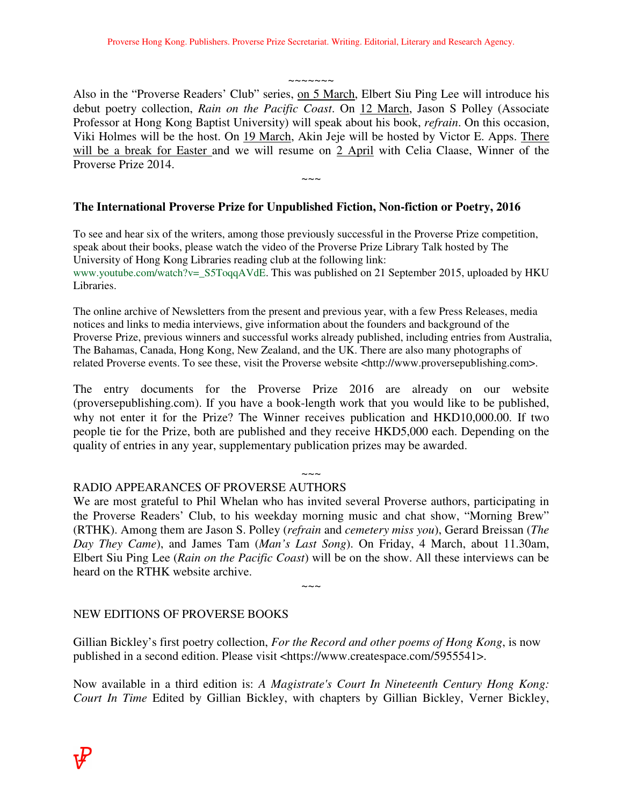~~~~~~~

Also in the "Proverse Readers' Club" series, on 5 March, Elbert Siu Ping Lee will introduce his debut poetry collection, *Rain on the Pacific Coast*. On 12 March, Jason S Polley (Associate Professor at Hong Kong Baptist University) will speak about his book, *refrain*. On this occasion, Viki Holmes will be the host. On 19 March, Akin Jeje will be hosted by Victor E. Apps. There will be a break for Easter and we will resume on 2 April with Celia Claase, Winner of the Proverse Prize 2014.

 $\sim\sim\sim$ 

# **The International Proverse Prize for Unpublished Fiction, Non-fiction or Poetry, 2016**

To see and hear six of the writers, among those previously successful in the Proverse Prize competition, speak about their books, please watch the video of the Proverse Prize Library Talk hosted by The University of Hong Kong Libraries reading club at the following link: www.youtube.com/watch?v=\_S5ToqqAVdE. This was published on 21 September 2015, uploaded by HKU Libraries.

The online archive of Newsletters from the present and previous year, with a few Press Releases, media notices and links to media interviews, give information about the founders and background of the Proverse Prize, previous winners and successful works already published, including entries from Australia, The Bahamas, Canada, Hong Kong, New Zealand, and the UK. There are also many photographs of related Proverse events. To see these, visit the Proverse website <http://www.proversepublishing.com>.

The entry documents for the Proverse Prize 2016 are already on our website (proversepublishing.com). If you have a book-length work that you would like to be published, why not enter it for the Prize? The Winner receives publication and HKD10,000.00. If two people tie for the Prize, both are published and they receive HKD5,000 each. Depending on the quality of entries in any year, supplementary publication prizes may be awarded.

# $\sim\sim\sim$

# RADIO APPEARANCES OF PROVERSE AUTHORS

We are most grateful to Phil Whelan who has invited several Proverse authors, participating in the Proverse Readers' Club, to his weekday morning music and chat show, "Morning Brew" (RTHK). Among them are Jason S. Polley (*refrain* and *cemetery miss you*), Gerard Breissan (*The Day They Came*), and James Tam (*Man's Last Song*). On Friday, 4 March, about 11.30am, Elbert Siu Ping Lee (*Rain on the Pacific Coast*) will be on the show. All these interviews can be heard on the RTHK website archive.

 $\sim\sim\sim$ 

# NEW EDITIONS OF PROVERSE BOOKS

Gillian Bickley's first poetry collection, *For the Record and other poems of Hong Kong*, is now published in a second edition. Please visit <https://www.createspace.com/5955541>.

Now available in a third edition is: *A Magistrate's Court In Nineteenth Century Hong Kong: Court In Time* Edited by Gillian Bickley, with chapters by Gillian Bickley, Verner Bickley,